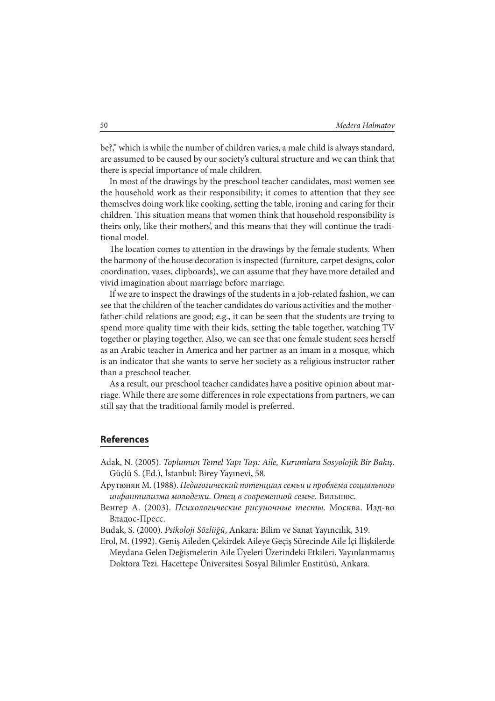be?," which is while the number of children varies, a male child is always standard, are assumed to be caused by our society's cultural structure and we can think that there is special importance of male children.

In most of the drawings by the preschool teacher candidates, most women see the household work as their responsibility; it comes to attention that they see themselves doing work like cooking, setting the table, ironing and caring for their children. This situation means that women think that household responsibility is theirs only, like their mothers', and this means that they will continue the traditional model.

The location comes to attention in the drawings by the female students. When the harmony of the house decoration is inspected (furniture, carpet designs, color coordination, vases, clipboards), we can assume that they have more detailed and vivid imagination about marriage before marriage.

If we are to inspect the drawings of the students in a job-related fashion, we can see that the children of the teacher candidates do various activities and the motherfather-child relations are good; e.g., it can be seen that the students are trying to spend more quality time with their kids, setting the table together, watching TV together or playing together. Also, we can see that one female student sees herself as an Arabic teacher in America and her partner as an imam in a mosque, which is an indicator that she wants to serve her society as a religious instructor rather than a preschool teacher.

As a result, our preschool teacher candidates have a positive opinion about marriage. While there are some differences in role expectations from partners, we can still say that the traditional family model is preferred.

## **References**

- Adak, N. (2005). Toplumun Temel Yapı Taşı: Aile, Kurumlara Sosyolojik Bir Bakış. Güçlü S. (Ed.), İstanbul: Birey Yayınevi, 58.
- Арутюнян М. (1988). Педагогический потенциал семьи и проблема социального инфантилизма молодежи. Отец в современной семье. Вильнюс.
- Венгер А. (2003). Психологические рисуночные тесты. Москва. Изд-во Владос-Пресс.
- Budak, S. (2000). Psikoloji Sözlüğü, Ankara: Bilim ve Sanat Yayıncılık, 319.
- Erol, M. (1992). Geniş Aileden Çekirdek Aileye Geçiş Sürecinde Aile İçi İlişkilerde Meydana Gelen Değişmelerin Aile Üyeleri Üzerindeki Etkileri. Yayınlanmamış Doktora Tezi. Hacettepe Üniversitesi Sosyal Bilimler Enstitüsü, Ankara.